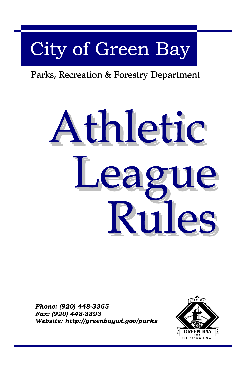## **City of Green Bay**

### Parks, Recreation & Forestry Department

# Athletic e e Rules

*Phone: (920) 448-3365 Fax: (920) 448-3393 Website: http://greenbaywi.gov/parks*

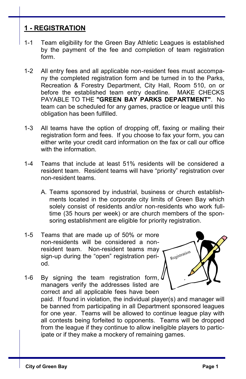#### **1 - REGISTRATION**

- 1-1 Team eligibility for the Green Bay Athletic Leagues is established by the payment of the fee and completion of team registration form.
- 1-2 All entry fees and all applicable non-resident fees must accompany the completed registration form and be turned in to the Parks, Recreation & Forestry Department, City Hall, Room 510, on or before the established team entry deadline. MAKE CHECKS PAYABLE TO THE **"GREEN BAY PARKS DEPARTMENT"**. No team can be scheduled for any games, practice or league until this obligation has been fulfilled.
- 1-3 All teams have the option of dropping off, faxing or mailing their registration form and fees. If you choose to fax your form, you can either write your credit card information on the fax or call our office with the information
- 1-4 Teams that include at least 51% residents will be considered a resident team. Resident teams will have "priority" registration over non-resident teams.
	- A. Teams sponsored by industrial, business or church establishments located in the corporate city limits of Green Bay which solely consist of residents and/or non-residents who work fulltime (35 hours per week) or are church members of the sponsoring establishment are eligible for priority registration.
- 1-5 Teams that are made up of 50% or more non-residents will be considered a nonresident team. Non-resident teams may sign-up during the "open" registration period.



1-6 By signing the team registration form,  $\ell$ managers verify the addresses listed are correct and all applicable fees have been

paid. If found in violation, the individual player(s) and manager will be banned from participating in all Department sponsored leagues for one year. Teams will be allowed to continue league play with all contests being forfeited to opponents. Teams will be dropped from the league if they continue to allow ineligible players to participate or if they make a mockery of remaining games.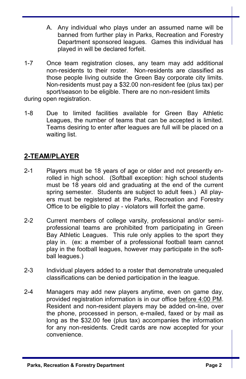- A. Any individual who plays under an assumed name will be banned from further play in Parks, Recreation and Forestry Department sponsored leagues. Games this individual has played in will be declared forfeit.
- 1-7 Once team registration closes, any team may add additional non-residents to their roster. Non-residents are classified as those people living outside the Green Bay corporate city limits. Non-residents must pay a \$32.00 non-resident fee (plus tax) per sport/season to be eligible. There are no non-resident limits during open registration.
- 1-8 Due to limited facilities available for Green Bay Athletic Leagues, the number of teams that can be accepted is limited. Teams desiring to enter after leagues are full will be placed on a waiting list.

#### **2-TEAM/PLAYER**

- 2-1 Players must be 18 years of age or older and not presently enrolled in high school. (Softball exception: high school students must be 18 years old and graduating at the end of the current spring semester. Students are subject to adult fees.) All players must be registered at the Parks, Recreation and Forestry Office to be eligible to play - violators will forfeit the game.
- 2-2 Current members of college varsity, professional and/or semiprofessional teams are prohibited from participating in Green Bay Athletic Leagues. This rule only applies to the sport they play in. (ex: a member of a professional football team cannot play in the football leagues, however may participate in the softball leagues.)
- 2-3 Individual players added to a roster that demonstrate unequaled classifications can be denied participation in the league.
- 2-4 Managers may add new players anytime, even on game day, provided registration information is in our office before 4:00 PM. Resident and non-resident players may be added on-line, over the phone, processed in person, e-mailed, faxed or by mail as long as the \$32.00 fee (plus tax) accompanies the information for any non-residents. Credit cards are now accepted for your convenience.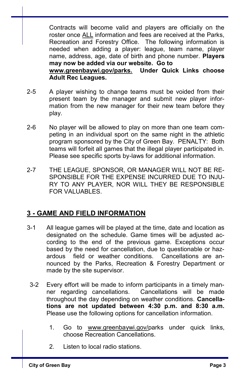Contracts will become valid and players are officially on the roster once ALL information and fees are received at the Parks, Recreation and Forestry Office. The following information is needed when adding a player: league, team name, player name, address, age, date of birth and phone number. **Players may now be added via our website. Go to www.greenbaywi.gov/parks. Under Quick Links choose Adult Rec Leagues.**

- 2-5 A player wishing to change teams must be voided from their present team by the manager and submit new player information from the new manager for their new team before they play.
- 2-6 No player will be allowed to play on more than one team competing in an individual sport on the same night in the athletic program sponsored by the City of Green Bay. PENALTY: Both teams will forfeit all games that the illegal player participated in. Please see specific sports by-laws for additional information.
- 2-7 THE LEAGUE, SPONSOR, OR MANAGER WILL NOT BE RE-SPONSIBLE FOR THE EXPENSE INCURRED DUE TO INJU-RY TO ANY PLAYER, NOR WILL THEY BE RESPONSIBLE FOR VALUABLES.

#### **3 - GAME AND FIELD INFORMATION**

- 3-1 All league games will be played at the time, date and location as designated on the schedule. Game times will be adjusted according to the end of the previous game. Exceptions occur based by the need for cancellation, due to questionable or hazardous field or weather conditions. Cancellations are announced by the Parks, Recreation & Forestry Department or made by the site supervisor.
- 3-2 Every effort will be made to inform participants in a timely manner regarding cancellations. Cancellations will be made throughout the day depending on weather conditions. **Cancellations are not updated between 4:30 p.m. and 8:30 a.m.** Please use the following options for cancellation information.
	- 1. Go to www.greenbaywi.gov/parks under quick links, choose Recreation Cancellations.
	- 2. Listen to local radio stations.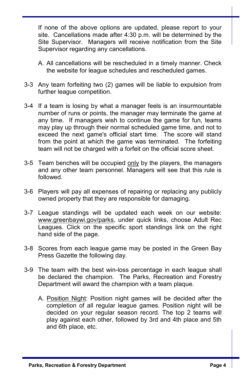If none of the above options are updated, please report to your site. Cancellations made after 4:30 p.m. will be determined by the Site Supervisor. Managers will receive notification from the Site Supervisor regarding any cancellations.

- A. All cancellations will be rescheduled in a timely manner. Check the website for league schedules and rescheduled games.
- 3-3 Any team forfeiting two (2) games will be liable to expulsion from further league competition.
- 3-4 If a team is losing by what a manager feels is an insurmountable number of runs or points, the manager may terminate the game at any time. If managers wish to continue the game for fun, teams may play up through their normal scheduled game time, and not to exceed the next game's official start time. The score will stand from the point at which the game was terminated. The forfeiting team will not be charged with a forfeit on the official score sheet.
- 3-5 Team benches will be occupied only by the players, the managers and any other team personnel. Managers will see that this rule is followed.
- 3-6 Players will pay all expenses of repairing or replacing any publicly owned property that they are responsible for damaging.
- 3-7 League standings will be updated each week on our website: www.greenbaywi.gov/parks, under quick links, choose Adult Rec Leagues. Click on the specific sport standings link on the right hand side of the page.
- 3-8 Scores from each league game may be posted in the Green Bay Press Gazette the following day.
- 3-9 The team with the best win-loss percentage in each league shall be declared the champion. The Parks, Recreation and Forestry Department will award the champion with a team plaque.
	- A. Position Night: Position night games will be decided after the completion of all regular league games. Position night will be decided on your regular season record. The top 2 teams will play against each other, followed by 3rd and 4th place and 5th and 6th place, etc.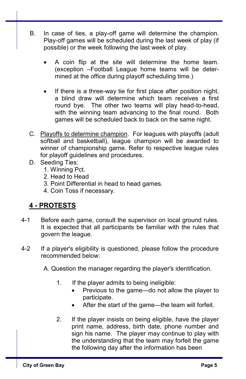- B. In case of ties, a play-off game will determine the champion. Play-off games will be scheduled during the last week of play (if possible) or the week following the last week of play.
	- A coin flip at the site will determine the home team. (exception –Football League home teams will be determined at the office during playoff scheduling time.)
	- If there is a three-way tie for first place after position night, a blind draw will determine which team receives a first round bye. The other two teams will play head-to-head, with the winning team advancing to the final round. Both games will be scheduled back to back on the same night.
- C. Playoffs to determine champion. For leagues with playoffs (adult softball and basketball), league champion will be awarded to winner of championship game. Refer to respective league rules for playoff guidelines and procedures.
- D. Seeding Ties:
	- 1. Winning Pct.
	- 2. Head to Head
	- 3. Point Differential in head to head games.
	- 4. Coin Toss if necessary.

#### **4 - PROTESTS**

- 4-1 Before each game, consult the supervisor on local ground rules. It is expected that all participants be familiar with the rules that govern the league.
- 4-2 If a player's eligibility is questioned, please follow the procedure recommended below:
	- A. Question the manager regarding the player's identification.
		- 1. If the player admits to being ineligible:
			- Previous to the game—do not allow the player to participate.
			- After the start of the game—the team will forfeit.
		- 2. If the player insists on being eligible, have the player print name, address, birth date, phone number and sign his name. The player may continue to play with the understanding that the team may forfeit the game the following day after the information has been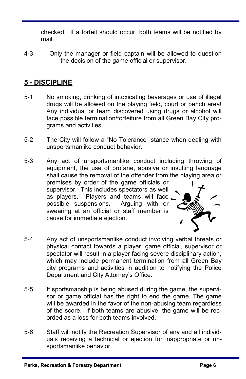checked. If a forfeit should occur, both teams will be notified by mail.

4-3 Only the manager or field captain will be allowed to question the decision of the game official or supervisor.

#### **5 - DISCIPLINE**

- 5-1 No smoking, drinking of intoxicating beverages or use of illegal drugs will be allowed on the playing field, court or bench area! Any individual or team discovered using drugs or alcohol will face possible termination/forfeiture from all Green Bay City programs and activities.
- 5-2 The City will follow a "No Tolerance" stance when dealing with unsportsmanlike conduct behavior.
- 5-3 Any act of unsportsmanlike conduct including throwing of equipment, the use of profane, abusive or insulting language shall cause the removal of the offender from the playing area or premises by order of the game officials or supervisor. This includes spectators as well as players. Players and teams will face possible suspensions. Arguing with or swearing at an official or staff member is cause for immediate ejection.
	-
- 5-4 Any act of unsportsmanlike conduct involving verbal threats or physical contact towards a player, game official, supervisor or spectator will result in a player facing severe disciplinary action, which may include permanent termination from all Green Bay city programs and activities in addition to notifying the Police Department and City Attorney's Office.
- 5-5 If sportsmanship is being abused during the game, the supervisor or game official has the right to end the game. The game will be awarded in the favor of the non-abusing team regardless of the score. If both teams are abusive, the game will be recorded as a loss for both teams involved.
- 5-6 Staff will notify the Recreation Supervisor of any and all individuals receiving a technical or ejection for inappropriate or unsportsmanlike behavior.